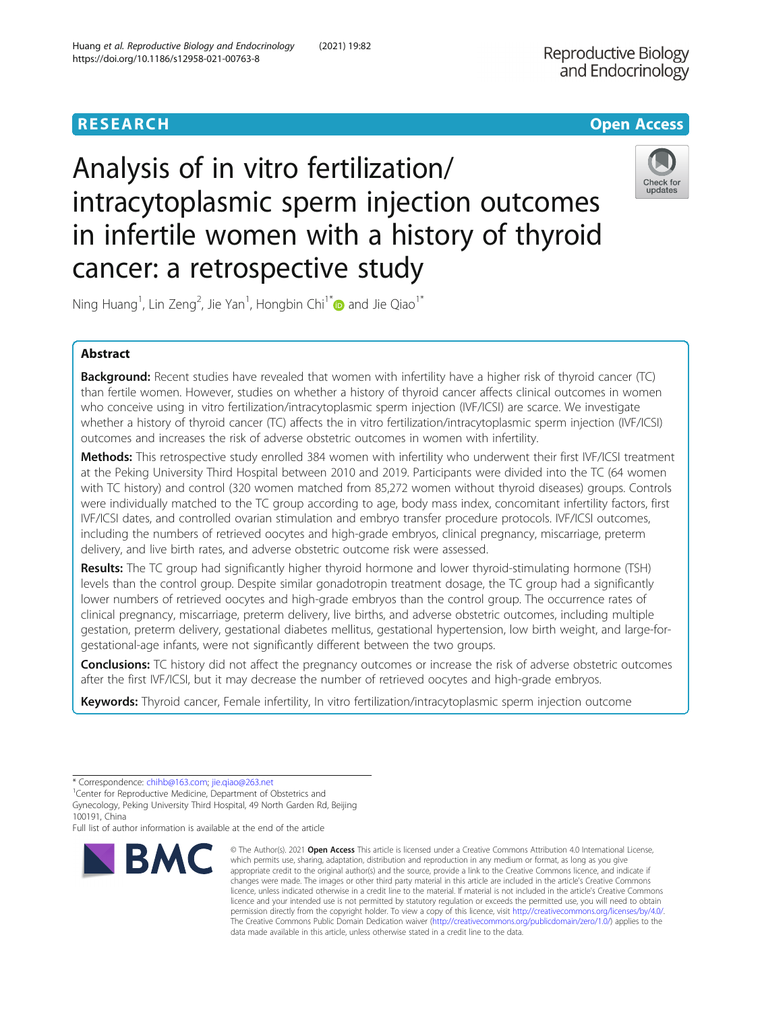# **RESEARCH CHE Open Access**

# Analysis of in vitro fertilization/ intracytoplasmic sperm injection outcomes in infertile women with a history of thyroid cancer: a retrospective study



Ning Huang $^1$ , Lin Zeng $^2$ , Jie Yan $^1$ , Hongbin Chi $^{1^\ast}$  and Jie Qiao $^{1^\ast}$ 

## Abstract

Background: Recent studies have revealed that women with infertility have a higher risk of thyroid cancer (TC) than fertile women. However, studies on whether a history of thyroid cancer affects clinical outcomes in women who conceive using in vitro fertilization/intracytoplasmic sperm injection (IVF/ICSI) are scarce. We investigate whether a history of thyroid cancer (TC) affects the in vitro fertilization/intracytoplasmic sperm injection (IVF/ICSI) outcomes and increases the risk of adverse obstetric outcomes in women with infertility.

Methods: This retrospective study enrolled 384 women with infertility who underwent their first IVF/ICSI treatment at the Peking University Third Hospital between 2010 and 2019. Participants were divided into the TC (64 women with TC history) and control (320 women matched from 85,272 women without thyroid diseases) groups. Controls were individually matched to the TC group according to age, body mass index, concomitant infertility factors, first IVF/ICSI dates, and controlled ovarian stimulation and embryo transfer procedure protocols. IVF/ICSI outcomes, including the numbers of retrieved oocytes and high-grade embryos, clinical pregnancy, miscarriage, preterm delivery, and live birth rates, and adverse obstetric outcome risk were assessed.

Results: The TC group had significantly higher thyroid hormone and lower thyroid-stimulating hormone (TSH) levels than the control group. Despite similar gonadotropin treatment dosage, the TC group had a significantly lower numbers of retrieved oocytes and high-grade embryos than the control group. The occurrence rates of clinical pregnancy, miscarriage, preterm delivery, live births, and adverse obstetric outcomes, including multiple gestation, preterm delivery, gestational diabetes mellitus, gestational hypertension, low birth weight, and large-forgestational-age infants, were not significantly different between the two groups.

**Conclusions:** TC history did not affect the pregnancy outcomes or increase the risk of adverse obstetric outcomes after the first IVF/ICSI, but it may decrease the number of retrieved oocytes and high-grade embryos.

Keywords: Thyroid cancer, Female infertility, In vitro fertilization/intracytoplasmic sperm injection outcome

Full list of author information is available at the end of the article



<sup>©</sup> The Author(s), 2021 **Open Access** This article is licensed under a Creative Commons Attribution 4.0 International License, which permits use, sharing, adaptation, distribution and reproduction in any medium or format, as long as you give appropriate credit to the original author(s) and the source, provide a link to the Creative Commons licence, and indicate if changes were made. The images or other third party material in this article are included in the article's Creative Commons licence, unless indicated otherwise in a credit line to the material. If material is not included in the article's Creative Commons licence and your intended use is not permitted by statutory regulation or exceeds the permitted use, you will need to obtain permission directly from the copyright holder. To view a copy of this licence, visit [http://creativecommons.org/licenses/by/4.0/.](http://creativecommons.org/licenses/by/4.0/) The Creative Commons Public Domain Dedication waiver [\(http://creativecommons.org/publicdomain/zero/1.0/](http://creativecommons.org/publicdomain/zero/1.0/)) applies to the data made available in this article, unless otherwise stated in a credit line to the data.

<sup>\*</sup> Correspondence: [chihb@163.com](mailto:chihb@163.com); [jie.qiao@263.net](mailto:jie.qiao@263.net) <sup>1</sup>

<sup>&</sup>lt;sup>1</sup> Center for Reproductive Medicine, Department of Obstetrics and

Gynecology, Peking University Third Hospital, 49 North Garden Rd, Beijing 100191, China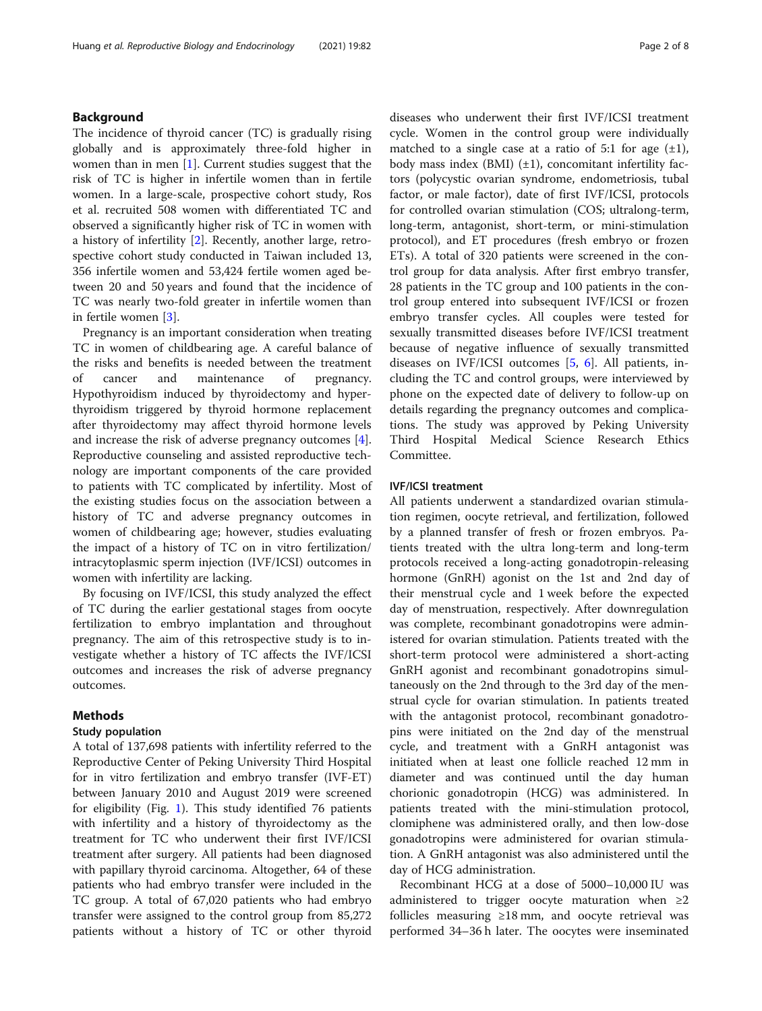#### Background

The incidence of thyroid cancer (TC) is gradually rising globally and is approximately three-fold higher in women than in men  $[1]$ . Current studies suggest that the risk of TC is higher in infertile women than in fertile women. In a large-scale, prospective cohort study, Ros et al. recruited 508 women with differentiated TC and observed a significantly higher risk of TC in women with a history of infertility [[2\]](#page-6-0). Recently, another large, retrospective cohort study conducted in Taiwan included 13, 356 infertile women and 53,424 fertile women aged between 20 and 50 years and found that the incidence of TC was nearly two-fold greater in infertile women than in fertile women [\[3](#page-7-0)].

Pregnancy is an important consideration when treating TC in women of childbearing age. A careful balance of the risks and benefits is needed between the treatment of cancer and maintenance of pregnancy. Hypothyroidism induced by thyroidectomy and hyperthyroidism triggered by thyroid hormone replacement after thyroidectomy may affect thyroid hormone levels and increase the risk of adverse pregnancy outcomes [\[4](#page-7-0)]. Reproductive counseling and assisted reproductive technology are important components of the care provided to patients with TC complicated by infertility. Most of the existing studies focus on the association between a history of TC and adverse pregnancy outcomes in women of childbearing age; however, studies evaluating the impact of a history of TC on in vitro fertilization/ intracytoplasmic sperm injection (IVF/ICSI) outcomes in women with infertility are lacking.

By focusing on IVF/ICSI, this study analyzed the effect of TC during the earlier gestational stages from oocyte fertilization to embryo implantation and throughout pregnancy. The aim of this retrospective study is to investigate whether a history of TC affects the IVF/ICSI outcomes and increases the risk of adverse pregnancy outcomes.

#### Methods

#### Study population

A total of 137,698 patients with infertility referred to the Reproductive Center of Peking University Third Hospital for in vitro fertilization and embryo transfer (IVF-ET) between January 2010 and August 2019 were screened for eligibility (Fig. [1\)](#page-2-0). This study identified 76 patients with infertility and a history of thyroidectomy as the treatment for TC who underwent their first IVF/ICSI treatment after surgery. All patients had been diagnosed with papillary thyroid carcinoma. Altogether, 64 of these patients who had embryo transfer were included in the TC group. A total of 67,020 patients who had embryo transfer were assigned to the control group from 85,272 patients without a history of TC or other thyroid

diseases who underwent their first IVF/ICSI treatment cycle. Women in the control group were individually matched to a single case at a ratio of 5:1 for age  $(\pm 1)$ , body mass index  $(BMI)$  ( $\pm 1$ ), concomitant infertility factors (polycystic ovarian syndrome, endometriosis, tubal factor, or male factor), date of first IVF/ICSI, protocols for controlled ovarian stimulation (COS; ultralong-term, long-term, antagonist, short-term, or mini-stimulation protocol), and ET procedures (fresh embryo or frozen ETs). A total of 320 patients were screened in the control group for data analysis. After first embryo transfer, 28 patients in the TC group and 100 patients in the control group entered into subsequent IVF/ICSI or frozen embryo transfer cycles. All couples were tested for sexually transmitted diseases before IVF/ICSI treatment because of negative influence of sexually transmitted diseases on IVF/ICSI outcomes  $[5, 6]$  $[5, 6]$  $[5, 6]$ . All patients, including the TC and control groups, were interviewed by phone on the expected date of delivery to follow-up on details regarding the pregnancy outcomes and complications. The study was approved by Peking University Third Hospital Medical Science Research Ethics Committee.

#### IVF/ICSI treatment

All patients underwent a standardized ovarian stimulation regimen, oocyte retrieval, and fertilization, followed by a planned transfer of fresh or frozen embryos. Patients treated with the ultra long-term and long-term protocols received a long-acting gonadotropin-releasing hormone (GnRH) agonist on the 1st and 2nd day of their menstrual cycle and 1 week before the expected day of menstruation, respectively. After downregulation was complete, recombinant gonadotropins were administered for ovarian stimulation. Patients treated with the short-term protocol were administered a short-acting GnRH agonist and recombinant gonadotropins simultaneously on the 2nd through to the 3rd day of the menstrual cycle for ovarian stimulation. In patients treated with the antagonist protocol, recombinant gonadotropins were initiated on the 2nd day of the menstrual cycle, and treatment with a GnRH antagonist was initiated when at least one follicle reached 12 mm in diameter and was continued until the day human chorionic gonadotropin (HCG) was administered. In patients treated with the mini-stimulation protocol, clomiphene was administered orally, and then low-dose gonadotropins were administered for ovarian stimulation. A GnRH antagonist was also administered until the day of HCG administration.

Recombinant HCG at a dose of 5000–10,000 IU was administered to trigger oocyte maturation when ≥2 follicles measuring ≥18 mm, and oocyte retrieval was performed 34–36 h later. The oocytes were inseminated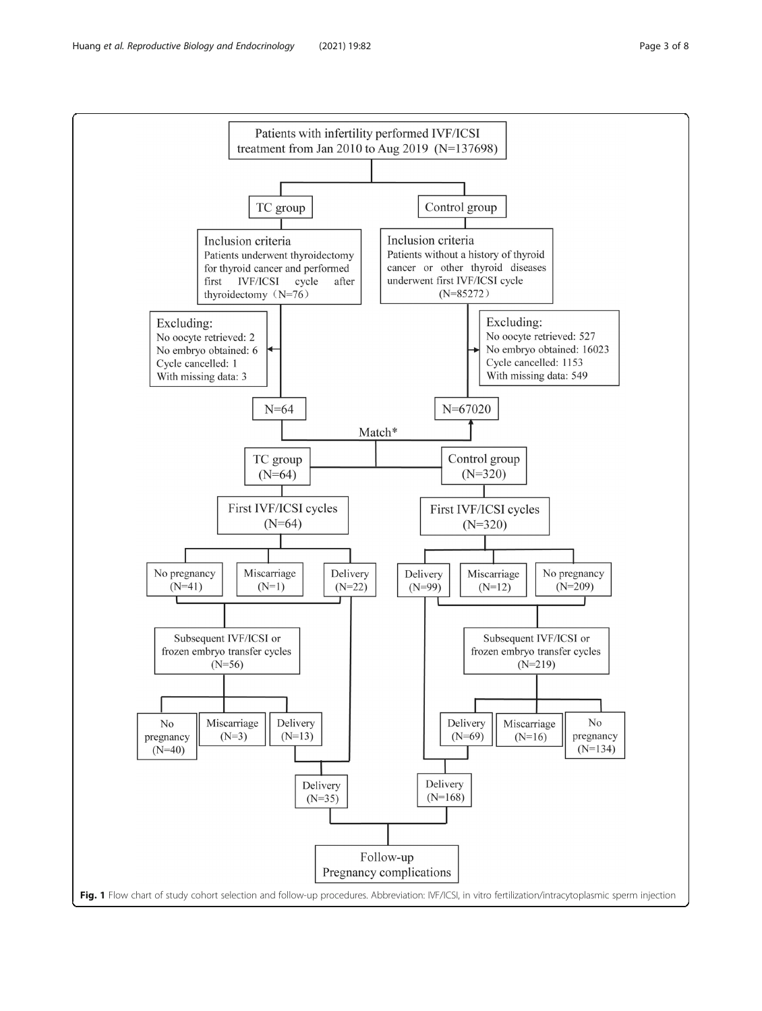<span id="page-2-0"></span>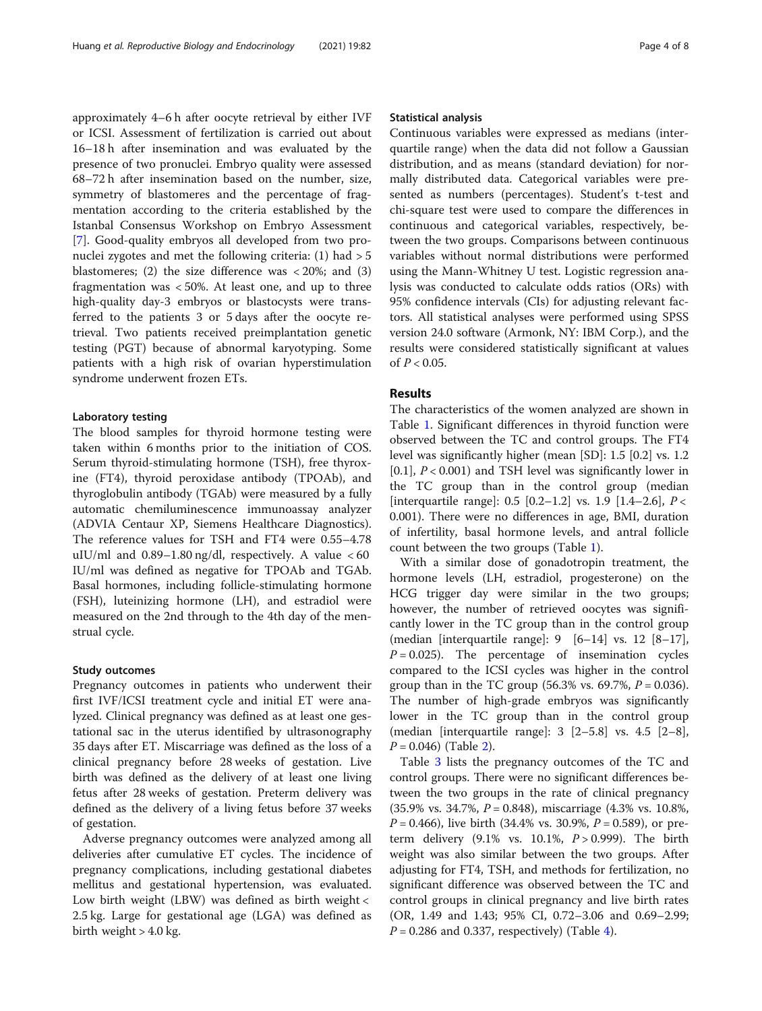approximately 4–6 h after oocyte retrieval by either IVF or ICSI. Assessment of fertilization is carried out about 16–18 h after insemination and was evaluated by the presence of two pronuclei. Embryo quality were assessed 68–72 h after insemination based on the number, size, symmetry of blastomeres and the percentage of fragmentation according to the criteria established by the Istanbal Consensus Workshop on Embryo Assessment [[7\]](#page-7-0). Good-quality embryos all developed from two pronuclei zygotes and met the following criteria: (1) had > 5 blastomeres; (2) the size difference was  $\langle 20\%;$  and (3) fragmentation was < 50%. At least one, and up to three high-quality day-3 embryos or blastocysts were transferred to the patients 3 or 5 days after the oocyte retrieval. Two patients received preimplantation genetic testing (PGT) because of abnormal karyotyping. Some patients with a high risk of ovarian hyperstimulation syndrome underwent frozen ETs.

#### Laboratory testing

The blood samples for thyroid hormone testing were taken within 6 months prior to the initiation of COS. Serum thyroid-stimulating hormone (TSH), free thyroxine (FT4), thyroid peroxidase antibody (TPOAb), and thyroglobulin antibody (TGAb) were measured by a fully automatic chemiluminescence immunoassay analyzer (ADVIA Centaur XP, Siemens Healthcare Diagnostics). The reference values for TSH and FT4 were 0.55–4.78 uIU/ml and  $0.89-1.80$  ng/dl, respectively. A value  $<60$ IU/ml was defined as negative for TPOAb and TGAb. Basal hormones, including follicle-stimulating hormone (FSH), luteinizing hormone (LH), and estradiol were measured on the 2nd through to the 4th day of the menstrual cycle.

#### Study outcomes

Pregnancy outcomes in patients who underwent their first IVF/ICSI treatment cycle and initial ET were analyzed. Clinical pregnancy was defined as at least one gestational sac in the uterus identified by ultrasonography 35 days after ET. Miscarriage was defined as the loss of a clinical pregnancy before 28 weeks of gestation. Live birth was defined as the delivery of at least one living fetus after 28 weeks of gestation. Preterm delivery was defined as the delivery of a living fetus before 37 weeks of gestation.

Adverse pregnancy outcomes were analyzed among all deliveries after cumulative ET cycles. The incidence of pregnancy complications, including gestational diabetes mellitus and gestational hypertension, was evaluated. Low birth weight (LBW) was defined as birth weight < 2.5 kg. Large for gestational age (LGA) was defined as birth weight  $> 4.0$  kg.

#### Statistical analysis

Continuous variables were expressed as medians (interquartile range) when the data did not follow a Gaussian distribution, and as means (standard deviation) for normally distributed data. Categorical variables were presented as numbers (percentages). Student's t-test and chi-square test were used to compare the differences in continuous and categorical variables, respectively, between the two groups. Comparisons between continuous variables without normal distributions were performed using the Mann-Whitney U test. Logistic regression analysis was conducted to calculate odds ratios (ORs) with 95% confidence intervals (CIs) for adjusting relevant factors. All statistical analyses were performed using SPSS version 24.0 software (Armonk, NY: IBM Corp.), and the results were considered statistically significant at values of  $P < 0.05$ .

#### Results

The characteristics of the women analyzed are shown in Table [1](#page-4-0). Significant differences in thyroid function were observed between the TC and control groups. The FT4 level was significantly higher (mean [SD]: 1.5 [0.2] vs. 1.2  $[0.1]$ ,  $P < 0.001$ ) and TSH level was significantly lower in the TC group than in the control group (median [interquartile range]:  $0.5$  [0.2–1.2] vs. 1.9 [1.4–2.6],  $P <$ 0.001). There were no differences in age, BMI, duration of infertility, basal hormone levels, and antral follicle count between the two groups (Table [1](#page-4-0)).

With a similar dose of gonadotropin treatment, the hormone levels (LH, estradiol, progesterone) on the HCG trigger day were similar in the two groups; however, the number of retrieved oocytes was significantly lower in the TC group than in the control group (median [interquartile range]:  $9 \quad [6-14]$  vs. 12  $[8-17]$ ,  $P = 0.025$ ). The percentage of insemination cycles compared to the ICSI cycles was higher in the control group than in the TC group (56.3% vs. 69.7%,  $P = 0.036$ ). The number of high-grade embryos was significantly lower in the TC group than in the control group (median [interquartile range]: 3 [2–5.8] vs. 4.5 [2–8],  $P = 0.046$ ) (Table [2\)](#page-4-0).

Table [3](#page-5-0) lists the pregnancy outcomes of the TC and control groups. There were no significant differences between the two groups in the rate of clinical pregnancy  $(35.9\% \text{ vs. } 34.7\%, P = 0.848)$ , miscarriage  $(4.3\% \text{ vs. } 10.8\%,$  $P = 0.466$ , live birth (34.4% vs. 30.9%,  $P = 0.589$ ), or preterm delivery  $(9.1\% \text{ vs. } 10.1\%, P > 0.999)$ . The birth weight was also similar between the two groups. After adjusting for FT4, TSH, and methods for fertilization, no significant difference was observed between the TC and control groups in clinical pregnancy and live birth rates (OR, 1.49 and 1.43; 95% CI, 0.72–3.06 and 0.69–2.99;  $P = 0.286$  and 0.337, respectively) (Table [4](#page-5-0)).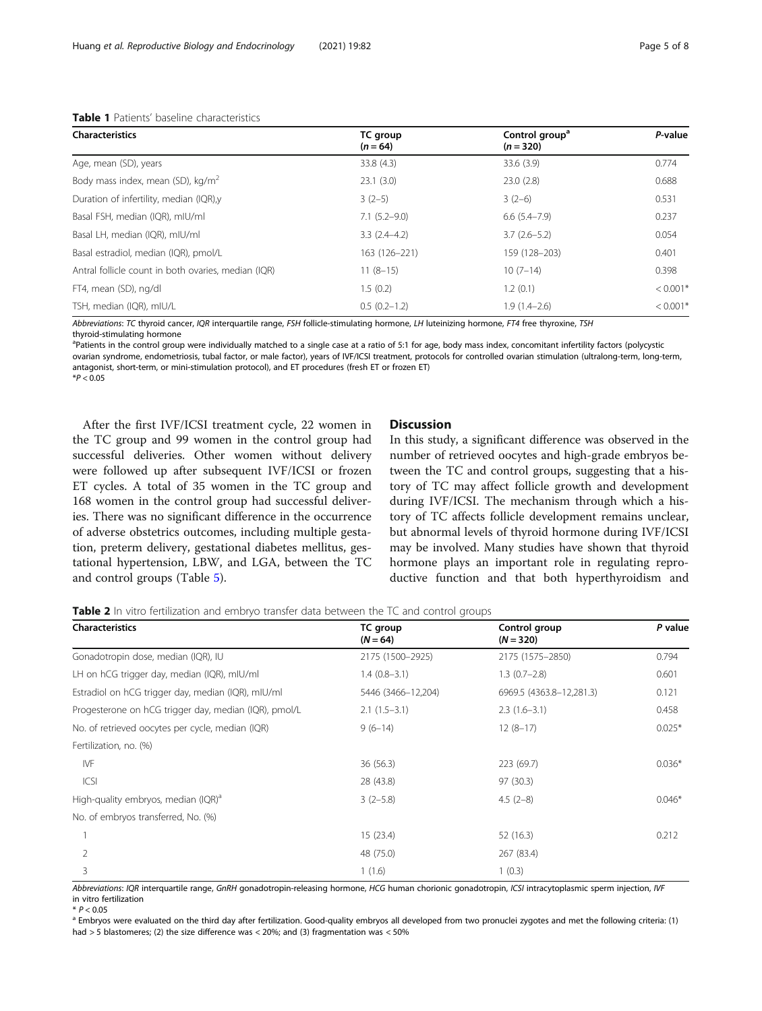| <b>Characteristics</b>                              | TC group<br>$(n = 64)$ | Control group <sup>a</sup><br>$(n = 320)$ | P-value    |
|-----------------------------------------------------|------------------------|-------------------------------------------|------------|
| Age, mean (SD), years                               | 33.8(4.3)              | 33.6(3.9)                                 | 0.774      |
| Body mass index, mean (SD), kg/m <sup>2</sup>       | 23.1(3.0)              | 23.0(2.8)                                 | 0.688      |
| Duration of infertility, median (IQR),y             | $3(2-5)$               | $3(2-6)$                                  | 0.531      |
| Basal FSH, median (IQR), mIU/ml                     | $7.1(5.2 - 9.0)$       | $6.6(5.4 - 7.9)$                          | 0.237      |
| Basal LH, median (IQR), mIU/ml                      | $3.3(2.4-4.2)$         | $3.7(2.6-5.2)$                            | 0.054      |
| Basal estradiol, median (IQR), pmol/L               | 163 (126-221)          | 159 (128-203)                             | 0.401      |
| Antral follicle count in both ovaries, median (IQR) | $11(8-15)$             | $10(7-14)$                                | 0.398      |
| FT4, mean (SD), ng/dl                               | 1.5(0.2)               | 1.2(0.1)                                  | $< 0.001*$ |
| TSH, median (IQR), mIU/L                            | $0.5(0.2-1.2)$         | $1.9(1.4-2.6)$                            | $< 0.001*$ |

#### <span id="page-4-0"></span>Table 1 Patients' baseline characteristics

Abbreviations: TC thyroid cancer, IQR interquartile range, FSH follicle-stimulating hormone, LH luteinizing hormone, FT4 free thyroxine, TSH

thyroid-stimulating hormone

<sup>a</sup>Patients in the control group were individually matched to a single case at a ratio of 5:1 for age, body mass index, concomitant infertility factors (polycystic ovarian syndrome, endometriosis, tubal factor, or male factor), years of IVF/ICSI treatment, protocols for controlled ovarian stimulation (ultralong-term, long-term, antagonist, short-term, or mini-stimulation protocol), and ET procedures (fresh ET or frozen ET)  $*P < 0.05$ 

After the first IVF/ICSI treatment cycle, 22 women in the TC group and 99 women in the control group had successful deliveries. Other women without delivery were followed up after subsequent IVF/ICSI or frozen ET cycles. A total of 35 women in the TC group and 168 women in the control group had successful deliveries. There was no significant difference in the occurrence of adverse obstetrics outcomes, including multiple gestation, preterm delivery, gestational diabetes mellitus, gestational hypertension, LBW, and LGA, between the TC and control groups (Table [5\)](#page-6-0).

#### **Discussion**

In this study, a significant difference was observed in the number of retrieved oocytes and high-grade embryos between the TC and control groups, suggesting that a history of TC may affect follicle growth and development during IVF/ICSI. The mechanism through which a history of TC affects follicle development remains unclear, but abnormal levels of thyroid hormone during IVF/ICSI may be involved. Many studies have shown that thyroid hormone plays an important role in regulating reproductive function and that both hyperthyroidism and

**Table 2** In vitro fertilization and embryo transfer data between the TC and control groups

| <b>Characteristics</b>                                | TC group<br>$(N = 64)$ | Control group<br>$(N = 320)$ | P value  |
|-------------------------------------------------------|------------------------|------------------------------|----------|
| Gonadotropin dose, median (IQR), IU                   | 2175 (1500-2925)       | 2175 (1575-2850)             | 0.794    |
| LH on hCG trigger day, median (IQR), mIU/mI           | $1.4(0.8-3.1)$         | $1.3(0.7-2.8)$               | 0.601    |
| Estradiol on hCG trigger day, median (IQR), mIU/ml    | 5446 (3466-12,204)     | 6969.5 (4363.8-12,281.3)     | 0.121    |
| Progesterone on hCG trigger day, median (IQR), pmol/L | $2.1(1.5-3.1)$         | $2.3(1.6-3.1)$               | 0.458    |
| No. of retrieved oocytes per cycle, median (IQR)      | $9(6-14)$              | $12(8-17)$                   | $0.025*$ |
| Fertilization, no. (%)                                |                        |                              |          |
| <b>IVF</b>                                            | 36(56.3)               | 223 (69.7)                   | $0.036*$ |
| ICSI                                                  | 28 (43.8)              | 97 (30.3)                    |          |
| High-quality embryos, median (IQR) <sup>a</sup>       | $3(2-5.8)$             | $4.5(2-8)$                   | $0.046*$ |
| No. of embryos transferred, No. (%)                   |                        |                              |          |
|                                                       | 15(23.4)               | 52 (16.3)                    | 0.212    |
| 2                                                     | 48 (75.0)              | 267 (83.4)                   |          |
| 3                                                     | 1(1.6)                 | 1(0.3)                       |          |

Abbreviations: IQR interquartile range, GnRH gonadotropin-releasing hormone, HCG human chorionic gonadotropin, ICSI intracytoplasmic sperm injection, IVF in vitro fertilization

\* P < 0.05<br><sup>a</sup> Embryos were evaluated on the third day after fertilization. Good-quality embryos all developed from two pronuclei zygotes and met the following criteria: (1) had > 5 blastomeres; (2) the size difference was < 20%; and (3) fragmentation was < 50%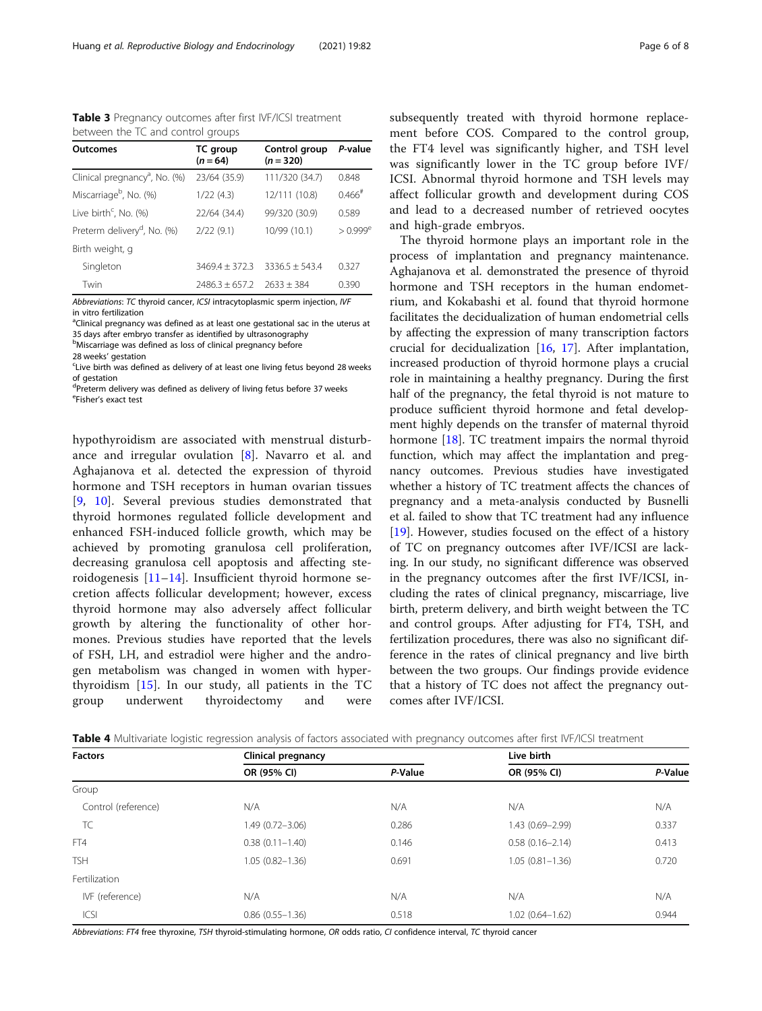Outcomes TC group  $(n = 64)$ Control group  $(n = 320)$ P-value Clinical pregnancy<sup>a</sup>, No. (%) , No. (%) 23/64 (35.9) 111/320 (34.7) 0.848 Miscarriage<sup>b</sup>, No. (%)  $1/22$  (4.3)  $12/111$  (10.8)  $0.466^{\text{#}}$ Live birth<sup>c</sup>, No.  $(%)$ , No. (%) 22/64 (34.4) 99/320 (30.9) 0.589 Preterm delivery<sup>d</sup>, No. (%)  $2/22$  (9.1) 10/99 (10.1)  $> 0.999^e$ Birth weight, g Singleton 3469.4 ± 372.3 3336.5 ± 543.4 0.327 Twin 2486.3 ± 657.2 2633 ± 384 0.390

<span id="page-5-0"></span>Table 3 Pregnancy outcomes after first IVF/ICSI treatment between the TC and control groups

Abbreviations: TC thyroid cancer, ICSI intracytoplasmic sperm injection, IVF in vitro fertilization

<sup>a</sup>Clinical pregnancy was defined as at least one gestational sac in the uterus at 35 days after embryo transfer as identified by ultrasonography

<sup>b</sup>Miscarriage was defined as loss of clinical pregnancy before

28 weeks' gestation

<sup>c</sup>Live birth was defined as delivery of at least one living fetus beyond 28 weeks of gestation

<sup>d</sup>Preterm delivery was defined as delivery of living fetus before 37 weeks <sup>e</sup>Fisher's exact test

hypothyroidism are associated with menstrual disturbance and irregular ovulation [\[8](#page-7-0)]. Navarro et al. and Aghajanova et al. detected the expression of thyroid hormone and TSH receptors in human ovarian tissues [[9,](#page-7-0) [10\]](#page-7-0). Several previous studies demonstrated that thyroid hormones regulated follicle development and enhanced FSH-induced follicle growth, which may be achieved by promoting granulosa cell proliferation, decreasing granulosa cell apoptosis and affecting steroidogenesis [[11](#page-7-0)–[14\]](#page-7-0). Insufficient thyroid hormone secretion affects follicular development; however, excess thyroid hormone may also adversely affect follicular growth by altering the functionality of other hormones. Previous studies have reported that the levels of FSH, LH, and estradiol were higher and the androgen metabolism was changed in women with hyperthyroidism [[15\]](#page-7-0). In our study, all patients in the TC group underwent thyroidectomy and were subsequently treated with thyroid hormone replacement before COS. Compared to the control group, the FT4 level was significantly higher, and TSH level was significantly lower in the TC group before IVF/ ICSI. Abnormal thyroid hormone and TSH levels may affect follicular growth and development during COS and lead to a decreased number of retrieved oocytes and high-grade embryos.

The thyroid hormone plays an important role in the process of implantation and pregnancy maintenance. Aghajanova et al. demonstrated the presence of thyroid hormone and TSH receptors in the human endometrium, and Kokabashi et al. found that thyroid hormone facilitates the decidualization of human endometrial cells by affecting the expression of many transcription factors crucial for decidualization [\[16](#page-7-0), [17\]](#page-7-0). After implantation, increased production of thyroid hormone plays a crucial role in maintaining a healthy pregnancy. During the first half of the pregnancy, the fetal thyroid is not mature to produce sufficient thyroid hormone and fetal development highly depends on the transfer of maternal thyroid hormone [\[18](#page-7-0)]. TC treatment impairs the normal thyroid function, which may affect the implantation and pregnancy outcomes. Previous studies have investigated whether a history of TC treatment affects the chances of pregnancy and a meta-analysis conducted by Busnelli et al. failed to show that TC treatment had any influence [[19\]](#page-7-0). However, studies focused on the effect of a history of TC on pregnancy outcomes after IVF/ICSI are lacking. In our study, no significant difference was observed in the pregnancy outcomes after the first IVF/ICSI, including the rates of clinical pregnancy, miscarriage, live birth, preterm delivery, and birth weight between the TC and control groups. After adjusting for FT4, TSH, and fertilization procedures, there was also no significant difference in the rates of clinical pregnancy and live birth between the two groups. Our findings provide evidence that a history of TC does not affect the pregnancy outcomes after IVF/ICSI.

Table 4 Multivariate logistic regression analysis of factors associated with pregnancy outcomes after first IVF/ICSI treatment

| <b>Factors</b>      | Clinical pregnancy  |         | Live birth          |         |
|---------------------|---------------------|---------|---------------------|---------|
|                     | OR (95% CI)         | P-Value | OR (95% CI)         | P-Value |
| Group               |                     |         |                     |         |
| Control (reference) | N/A                 | N/A     | N/A                 | N/A     |
| TC                  | 1.49 (0.72-3.06)    | 0.286   | 1.43 (0.69-2.99)    | 0.337   |
| FT4                 | $0.38(0.11 - 1.40)$ | 0.146   | $0.58(0.16 - 2.14)$ | 0.413   |
| <b>TSH</b>          | $1.05(0.82 - 1.36)$ | 0.691   | $1.05(0.81 - 1.36)$ | 0.720   |
| Fertilization       |                     |         |                     |         |
| IVF (reference)     | N/A                 | N/A     | N/A                 | N/A     |
| <b>ICSI</b>         | $0.86(0.55 - 1.36)$ | 0.518   | $1.02(0.64 - 1.62)$ | 0.944   |

Abbreviations: FT4 free thyroxine, TSH thyroid-stimulating hormone, OR odds ratio, CI confidence interval, TC thyroid cancer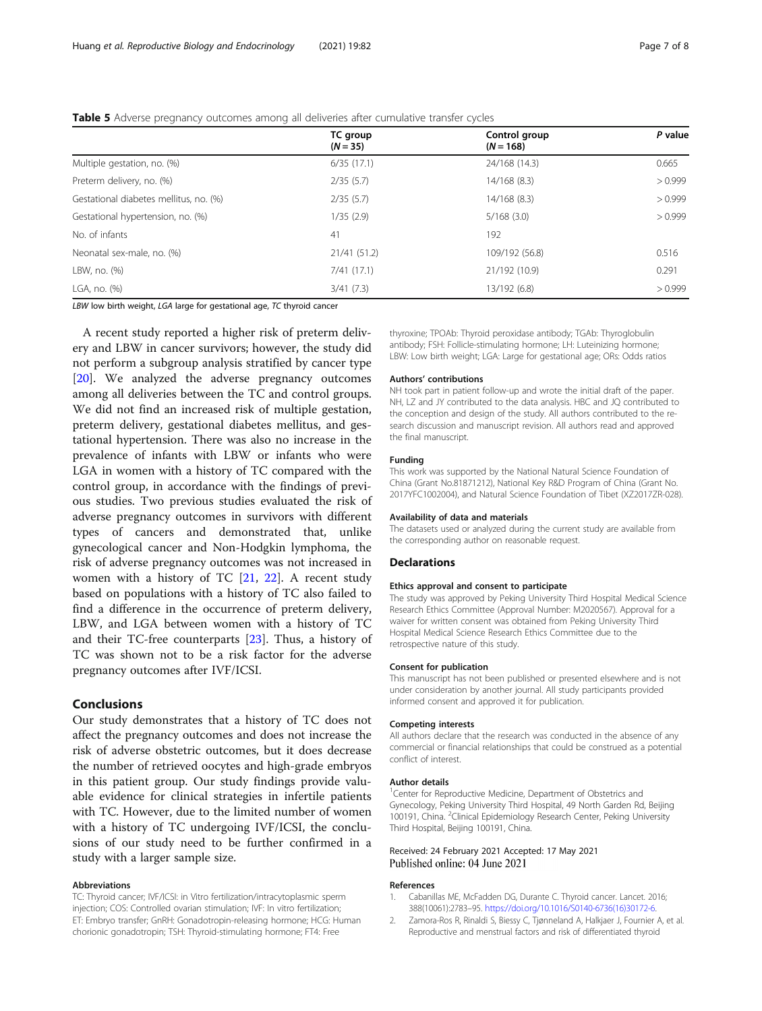|                                        | TC group<br>$(N = 35)$ | Control group<br>$(N = 168)$ | P value |
|----------------------------------------|------------------------|------------------------------|---------|
| Multiple gestation, no. (%)            | 6/35(17.1)             | 24/168 (14.3)                | 0.665   |
| Preterm delivery, no. (%)              | 2/35(5.7)              | 14/168 (8.3)                 | > 0.999 |
| Gestational diabetes mellitus, no. (%) | 2/35(5.7)              | 14/168 (8.3)                 | > 0.999 |
| Gestational hypertension, no. (%)      | 1/35(2.9)              | 5/168(3.0)                   | > 0.999 |
| No. of infants                         | 41                     | 192                          |         |
| Neonatal sex-male, no. (%)             | 21/41 (51.2)           | 109/192 (56.8)               | 0.516   |
| LBW, no. (%)                           | 7/41(17.1)             | 21/192 (10.9)                | 0.291   |
| LGA, no. (%)                           | 3/41(7.3)              | 13/192 (6.8)                 | > 0.999 |

<span id="page-6-0"></span>Table 5 Adverse pregnancy outcomes among all deliveries after cumulative transfer cycles

LBW low birth weight, LGA large for gestational age, TC thyroid cancer

A recent study reported a higher risk of preterm delivery and LBW in cancer survivors; however, the study did not perform a subgroup analysis stratified by cancer type [[20\]](#page-7-0). We analyzed the adverse pregnancy outcomes among all deliveries between the TC and control groups. We did not find an increased risk of multiple gestation, preterm delivery, gestational diabetes mellitus, and gestational hypertension. There was also no increase in the prevalence of infants with LBW or infants who were LGA in women with a history of TC compared with the control group, in accordance with the findings of previous studies. Two previous studies evaluated the risk of adverse pregnancy outcomes in survivors with different types of cancers and demonstrated that, unlike gynecological cancer and Non-Hodgkin lymphoma, the risk of adverse pregnancy outcomes was not increased in women with a history of TC [\[21,](#page-7-0) [22\]](#page-7-0). A recent study based on populations with a history of TC also failed to find a difference in the occurrence of preterm delivery, LBW, and LGA between women with a history of TC and their TC-free counterparts [[23\]](#page-7-0). Thus, a history of TC was shown not to be a risk factor for the adverse pregnancy outcomes after IVF/ICSI.

#### Conclusions

Our study demonstrates that a history of TC does not affect the pregnancy outcomes and does not increase the risk of adverse obstetric outcomes, but it does decrease the number of retrieved oocytes and high-grade embryos in this patient group. Our study findings provide valuable evidence for clinical strategies in infertile patients with TC. However, due to the limited number of women with a history of TC undergoing IVF/ICSI, the conclusions of our study need to be further confirmed in a study with a larger sample size.

#### Abbreviations

TC: Thyroid cancer; IVF/ICSI: in Vitro fertilization/intracytoplasmic sperm injection; COS: Controlled ovarian stimulation; IVF: In vitro fertilization; ET: Embryo transfer; GnRH: Gonadotropin-releasing hormone; HCG: Human chorionic gonadotropin; TSH: Thyroid-stimulating hormone; FT4: Free

thyroxine; TPOAb: Thyroid peroxidase antibody; TGAb: Thyroglobulin antibody; FSH: Follicle-stimulating hormone; LH: Luteinizing hormone; LBW: Low birth weight; LGA: Large for gestational age; ORs: Odds ratios

#### Authors' contributions

NH took part in patient follow-up and wrote the initial draft of the paper. NH, LZ and JY contributed to the data analysis. HBC and JQ contributed to the conception and design of the study. All authors contributed to the research discussion and manuscript revision. All authors read and approved the final manuscript.

#### Funding

This work was supported by the National Natural Science Foundation of China (Grant No.81871212), National Key R&D Program of China (Grant No. 2017YFC1002004), and Natural Science Foundation of Tibet (XZ2017ZR-028).

#### Availability of data and materials

The datasets used or analyzed during the current study are available from the corresponding author on reasonable request.

#### **Declarations**

#### Ethics approval and consent to participate

The study was approved by Peking University Third Hospital Medical Science Research Ethics Committee (Approval Number: M2020567). Approval for a waiver for written consent was obtained from Peking University Third Hospital Medical Science Research Ethics Committee due to the retrospective nature of this study.

#### Consent for publication

This manuscript has not been published or presented elsewhere and is not under consideration by another journal. All study participants provided informed consent and approved it for publication.

#### Competing interests

All authors declare that the research was conducted in the absence of any commercial or financial relationships that could be construed as a potential conflict of interest.

#### Author details

<sup>1</sup> Center for Reproductive Medicine, Department of Obstetrics and Gynecology, Peking University Third Hospital, 49 North Garden Rd, Beijing 100191, China. <sup>2</sup>Clinical Epidemiology Research Center, Peking University Third Hospital, Beijing 100191, China.

#### Received: 24 February 2021 Accepted: 17 May 2021 Published online: 04 June 2021

#### References

- 1. Cabanillas ME, McFadden DG, Durante C. Thyroid cancer. Lancet. 2016; 388(10061):2783–95. [https://doi.org/10.1016/S0140-6736\(16\)30172-6](https://doi.org/10.1016/S0140-6736(16)30172-6).
- 2. Zamora-Ros R, Rinaldi S, Biessy C, Tjønneland A, Halkjaer J, Fournier A, et al. Reproductive and menstrual factors and risk of differentiated thyroid